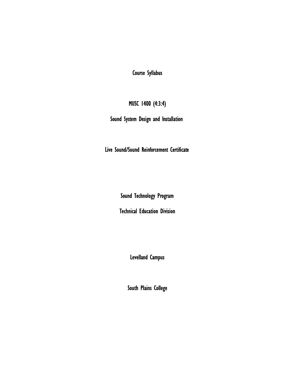Course Syllabus

# MUSC 1400 (4:3:4)

Sound System Design and Installation

Live Sound/Sound Reinforcement Certificate

Sound Technology Program

Technical Education Division

Levelland Campus

South Plains College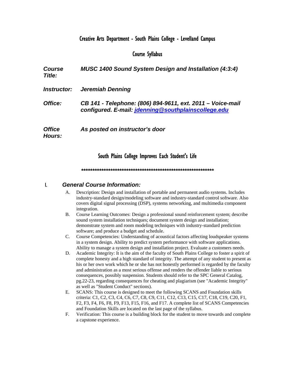## Creative Arts Department - South Plains College - Levelland Campus

## Course Syllabus

*Course Title: MUSC 1400 Sound System Design and Installation (4:3:4) Instructor: Jeremiah Denning Office: CB 141 - Telephone: (806) 894-9611, ext. 2011 – Voice-mail configured. E-mail: jdenning@southplainscollege.edu Office Hours: As posted on instructor's door* 

#### South Plains College Improves Each Student's Life

#### *\*\*\*\*\*\*\*\*\*\*\*\*\*\*\*\*\*\*\*\*\*\*\*\*\*\*\*\*\*\*\*\*\*\*\*\*\*\*\*\*\*\*\*\*\*\*\*\*\*\*\*\*\*\*\*\*\*\*\**

#### I. *General Course Information:*

- A. Description: Design and installation of portable and permanent audio systems. Includes industry-standard design/modeling software and industry-standard control software. Also covers digital signal processing (DSP), systems networking, and multimedia component integration.
- B. Course Learning Outcomes: Design a professional sound reinforcement system; describe sound system installation techniques; document system design and installation; demonstrate system and room modeling techniques with industry-standard prediction software; and produce a budget and schedule.
- C. Course Competencies: Understanding of acoustical factors affecting loudspeaker systems in a system design. Ability to predict system performance with software applications. Ability to manage a system design and installation project. Evaluate a customers needs.
- D. Academic Integrity: It is the aim of the faculty of South Plains College to foster a spirit of complete honesty and a high standard of integrity. The attempt of any student to present as his or her own work which he or she has not honestly performed is regarded by the faculty and administration as a most serious offense and renders the offender liable to serious consequences, possibly suspension. Students should refer to the SPC General Catalog, pg.22-23, regarding consequences for cheating and plagiarism (see "Academic Integrity" as well as "Student Conduct" sections).
- E. SCANS: This course is designed to meet the following SCANS and Foundation skills criteria: C1, C2, C3, C4, C6, C7, C8, C9, C11, C12, C13, C15, C17, C18, C19, C20, F1, F2, F3, F4, F6, F8, F9, F13, F15, F16, and F17. A complete list of SCANS Competencies and Foundation Skills are located on the last page of the syllabus.
- F. Verification: This course is a building block for the student to move towards and complete a capstone experience.